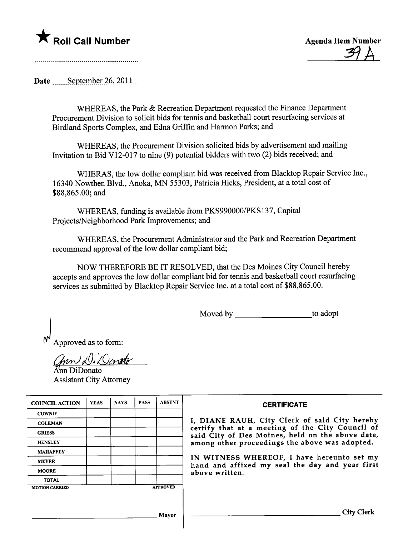## **\*** Roll Call Number Agenda Item Number



Date  $S$ eptember 26, 2011

WHEREAS, the Park & Recreation Department requested the Finance Department Procurement Division to solicit bids for tennis and basketball court resurfacing services at Birdland Sports Complex, and Edna Griffin and Harmon Parks; and

WHEREAS, the Procurement Division solicited bids by advertisement and mailing Invitation to Bid V12-017 to nine (9) potential bidders with two (2) bids received; and

WHERAS, the low dollar compliant bid was received from Blacktop Repair Service Inc., 16340 Nowthen Blvd., Anoka, MN 55303, Patricia Hicks, President, at a total cost of \$88,865.00; and

WHEREAS, fuding is available from PKS990000/PKS137, Capital Projects/Neighborhood Park Improvements; and

WHEREAS, the Procurement Administrator and the Park and Recreation Deparment recommend approval of the low dollar compliant bid;

NOW THEREFORE BE IT RESOLVED, that the Des Moines City Council hereby accepts and approves the low dollar compliant bid for tennis and basketball court resurfacing services as submitted by Blacktop Repair Service Inc. at a total cost of \$88,865.00.

Moved by to adopt

Approved as to form:

Gnn Di Denato

Assistant City Attorney

| <b>COUNCIL ACTION</b> | <b>YEAS</b> | <b>NAYS</b> | <b>PASS</b> | <b>ABSENT</b>   | <b>CERTIFICATE</b>                                                                             |
|-----------------------|-------------|-------------|-------------|-----------------|------------------------------------------------------------------------------------------------|
| <b>COWNIE</b>         |             |             |             |                 |                                                                                                |
| <b>COLEMAN</b>        |             |             |             |                 | I, DIANE RAUH, City Clerk of said City hereby certify that at a meeting of the City Council of |
| <b>GRIESS</b>         |             |             |             |                 | said City of Des Moines, held on the above date,                                               |
| <b>HENSLEY</b>        |             |             |             |                 | among other proceedings the above was adopted.                                                 |
| <b>MAHAFFEY</b>       |             |             |             |                 |                                                                                                |
| <b>MEYER</b>          |             |             |             |                 | IN WITNESS WHEREOF, I have hereunto set my<br>hand and affixed my seal the day and year first  |
| <b>MOORE</b>          |             |             |             |                 | above written.                                                                                 |
| <b>TOTAL</b>          |             |             |             |                 |                                                                                                |
| <b>MOTION CARRIED</b> |             |             |             | <b>APPROVED</b> |                                                                                                |
|                       |             |             |             |                 |                                                                                                |
|                       |             |             |             |                 |                                                                                                |
|                       |             |             |             | Mavor           | City                                                                                           |